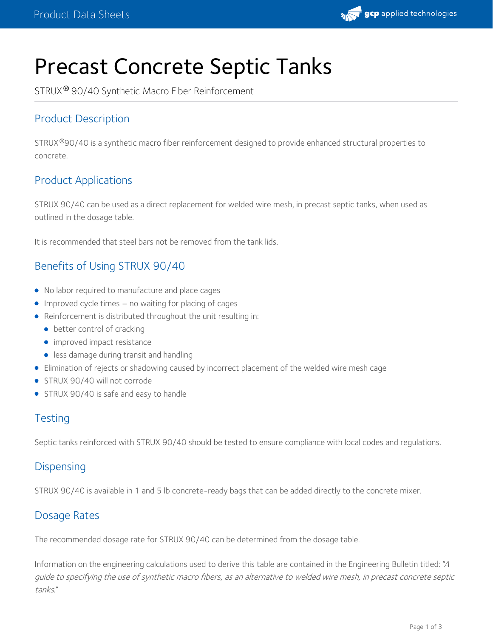

# Precast Concrete Septic Tanks

STRUX® 90/40 Synthetic Macro Fiber Reinforcement

# Product Description

STRUX®90/40 is a synthetic macro fiber reinforcement designed to provide enhanced structural properties to concrete.

## Product Applications

STRUX 90/40 can be used as a direct replacement for welded wire mesh, in precast septic tanks, when used as outlined in the dosage table.

It is recommended that steel bars not be removed from the tank lids.

## Benefits of Using STRUX 90/40

- No labor required to manufacture and place cages
- Improved cycle times no waiting for placing of cages
- Reinforcement is distributed throughout the unit resulting in:
	- better control of cracking
	- **·** improved impact resistance
	- **.** less damage during transit and handling
- Elimination of rejects or shadowing caused by incorrect placement of the welded wire mesh cage
- **STRUX 90/40 will not corrode**
- STRUX 90/40 is safe and easy to handle

#### **Testing**

Septic tanks reinforced with STRUX 90/40 should be tested to ensure compliance with local codes and regulations.

#### **Dispensing**

STRUX 90/40 is available in 1 and 5 lb concrete-ready bags that can be added directly to the concrete mixer.

### Dosage Rates

The recommended dosage rate for STRUX 90/40 can be determined from the dosage table.

Information on the engineering calculations used to derive this table are contained in the Engineering Bulletin titled: "<sup>A</sup> guide to specifying the use of synthetic macro fibers, as an alternative to welded wire mesh, in precast concrete septic tanks."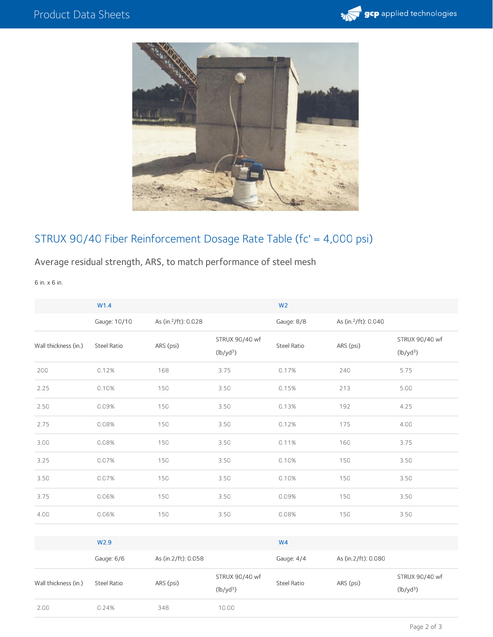



# STRUX 90/40 Fiber Reinforcement Dosage Rate Table (fc' = 4,000 psi)

## Average residual strength, ARS, to match performance of steel mesh

6 in. x 6 in.

|                      | W1.4               |                                  |                               | W <sub>2</sub> |                                  |                               |
|----------------------|--------------------|----------------------------------|-------------------------------|----------------|----------------------------------|-------------------------------|
|                      | Gauge: 10/10       | As (in. <sup>2</sup> /ft): 0.028 |                               | Gauge: 8/8     | As (in. <sup>2</sup> /ft): 0.040 |                               |
| Wall thickness (in.) | <b>Steel Ratio</b> | ARS (psi)                        | STRUX 90/40 wf<br>$(lb/yd^3)$ | Steel Ratio    | ARS (psi)                        | STRUX 90/40 wf<br>$(lb/yd^3)$ |
| 200                  | 0.12%              | 168                              | 3.75                          | 0.17%          | 240                              | 5.75                          |
| 2.25                 | 0.10%              | 150                              | 3.50                          | 0.15%          | 213                              | 5.00                          |
| 2.50                 | 0.09%              | 150                              | 3.50                          | 0.13%          | 192                              | 4.25                          |
| 2.75                 | 0.08%              | 150                              | 3.50                          | 0.12%          | 175                              | 4.00                          |
| 3.00                 | 0.08%              | 150                              | 3.50                          | 0.11%          | 160                              | 3.75                          |
| 3.25                 | 0.07%              | 150                              | 3.50                          | 0.10%          | 150                              | 3.50                          |
| 3.50                 | 0.07%              | 150                              | 3.50                          | 0.10%          | 150                              | 3.50                          |
| 3.75                 | 0.06%              | 150                              | 3.50                          | 0.09%          | 150                              | 3.50                          |
| 4.00                 | 0.06%              | 150                              | 3.50                          | 0.08%          | 150                              | 3.50                          |
|                      |                    |                                  |                               |                |                                  |                               |

|                      | W <sub>2.9</sub>   |                     |                               | W <sub>4</sub> |                     |                               |  |
|----------------------|--------------------|---------------------|-------------------------------|----------------|---------------------|-------------------------------|--|
|                      | Gauge: 6/6         | As (in.2/ft): 0.058 |                               | Gauge: 4/4     | As (in.2/ft): 0.080 |                               |  |
| Wall thickness (in.) | <b>Steel Ratio</b> | ARS (psi)           | STRUX 90/40 wf<br>$(lb/yd^3)$ | Steel Ratio    | ARS (psi)           | STRUX 90/40 wf<br>$(lb/yd^3)$ |  |
| 2.00                 | 0.24%              | 348                 | 10.00                         |                |                     |                               |  |